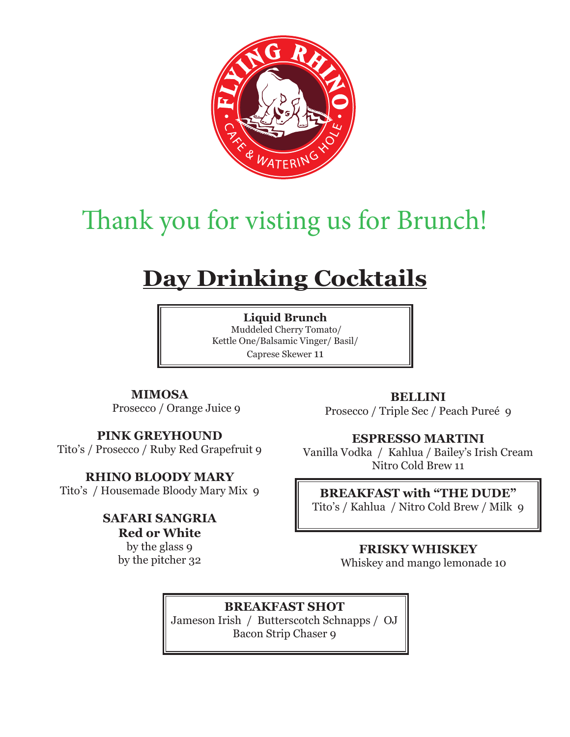

# Thank you for visting us for Brunch!

# **Day Drinking Cocktails**

**Liquid Brunch** Muddeled Cherry Tomato/ Kettle One/Balsamic Vinger/ Basil/ Caprese Skewer 11

**MIMOSA** Prosecco / Orange Juice 9

### **PINK GREYHOUND**

Tito's / Prosecco / Ruby Red Grapefruit 9

#### **RHINO BLOODY MARY**

Tito's / Housemade Bloody Mary Mix 9

## **SAFARI SANGRIA**

**Red or White** by the glass 9 by the pitcher 32

**BELLINI** Prosecco / Triple Sec / Peach Pureé 9

#### **ESPRESSO MARTINI**

Vanilla Vodka / Kahlua / Bailey's Irish Cream Nitro Cold Brew 11

#### **BREAKFAST with "THE DUDE"**

Tito's / Kahlua / Nitro Cold Brew / Milk 9

#### **FRISKY WHISKEY**

Whiskey and mango lemonade 10

**BREAKFAST SHOT** Jameson Irish / Butterscotch Schnapps / OJ Bacon Strip Chaser 9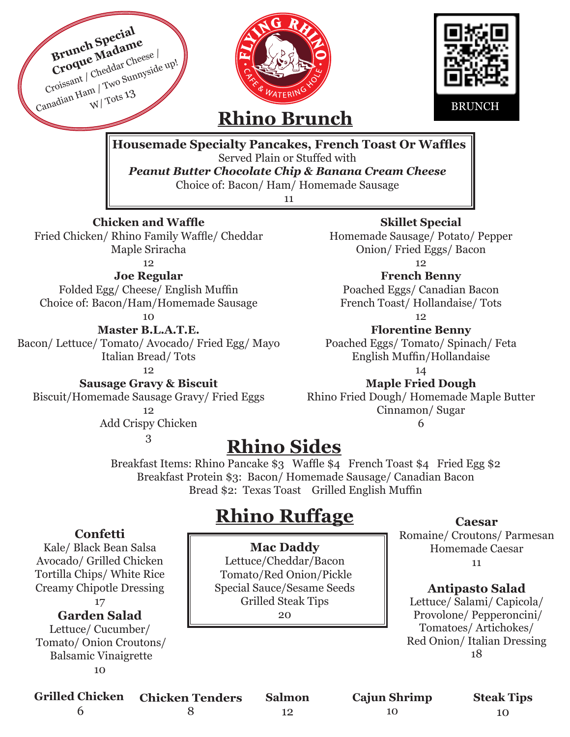

**Confetti** 

Kale/ Black Bean Salsa Avocado/ Grilled Chicken Tortilla Chips/ White Rice Creamy Chipotle Dressing

17

#### **Garden Salad**

Lettuce/ Cucumber/ Tomato/ Onion Croutons/ Balsamic Vinaigrette 10

# **Rhino Ruffage**

**Mac Daddy** Lettuce/Cheddar/Bacon Tomato/Red Onion/Pickle Special Sauce/Sesame Seeds Grilled Steak Tips

#### 20

12

#### **Caesar**

Romaine/ Croutons/ Parmesan Homemade Caesar 11

#### **Antipasto Salad**

Lettuce/ Salami/ Capicola/ Provolone/ Pepperoncini/ Tomatoes/ Artichokes/ Red Onion/ Italian Dressing 18

| Grilled Chicken Chicken Tenders | <b>Salmon</b> |
|---------------------------------|---------------|
|                                 |               |

**Cajun Shrimp**

10

**Steak Tips** 10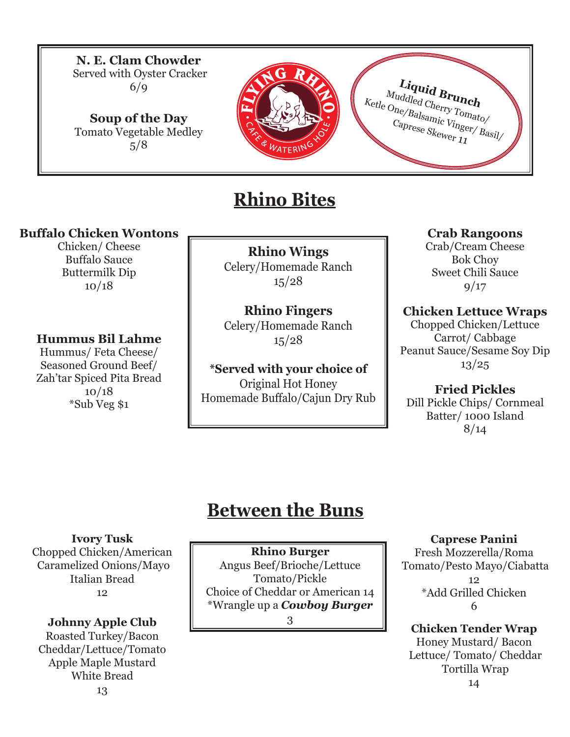**N. E. Clam Chowder** Served with Oyster Cracker 6/9

**Soup of the Day** Tomato Vegetable Medley 5/8



# **Rhino Bites**

#### **Buffalo Chicken Wontons**

Chicken/ Cheese Buffalo Sauce Buttermilk Dip 10/18

#### **Hummus Bil Lahme**

Hummus/ Feta Cheese/ Seasoned Ground Beef/ Zah'tar Spiced Pita Bread 10/18 \*Sub Veg \$1

**Rhino Wings**  Celery/Homemade Ranch 15/28

#### **Rhino Fingers**

Celery/Homemade Ranch 15/28

**\*Served with your choice of** Original Hot Honey Homemade Buffalo/Cajun Dry Rub

#### **Crab Rangoons**

**Liquid Brunch**

Muddled Cherry Tomato/<br>
Caprese Skewer 11 Ketle One/Balsamic Vinger/ Basil/

> Crab/Cream Cheese Bok Choy Sweet Chili Sauce  $9/17$

**Chicken Lettuce Wraps**  Chopped Chicken/Lettuce Carrot/ Cabbage Peanut Sauce/Sesame Soy Dip 13/25

**Fried Pickles**  Dill Pickle Chips/ Cornmeal Batter/ 1000 Island 8/14

# **Between the Buns**

#### **Ivory Tusk**

Chopped Chicken/American Caramelized Onions/Mayo Italian Bread 12

#### **Johnny Apple Club**

Roasted Turkey/Bacon Cheddar/Lettuce/Tomato Apple Maple Mustard White Bread 13

#### **Rhino Burger**

Angus Beef/Brioche/Lettuce Tomato/Pickle Choice of Cheddar or American 14 \*Wrangle up a *Cowboy Burger*

3

#### **Caprese Panini**

Fresh Mozzerella/Roma Tomato/Pesto Mayo/Ciabatta 12 \*Add Grilled Chicken 6

### **Chicken Tender Wrap**

Honey Mustard/ Bacon Lettuce/ Tomato/ Cheddar Tortilla Wrap 14